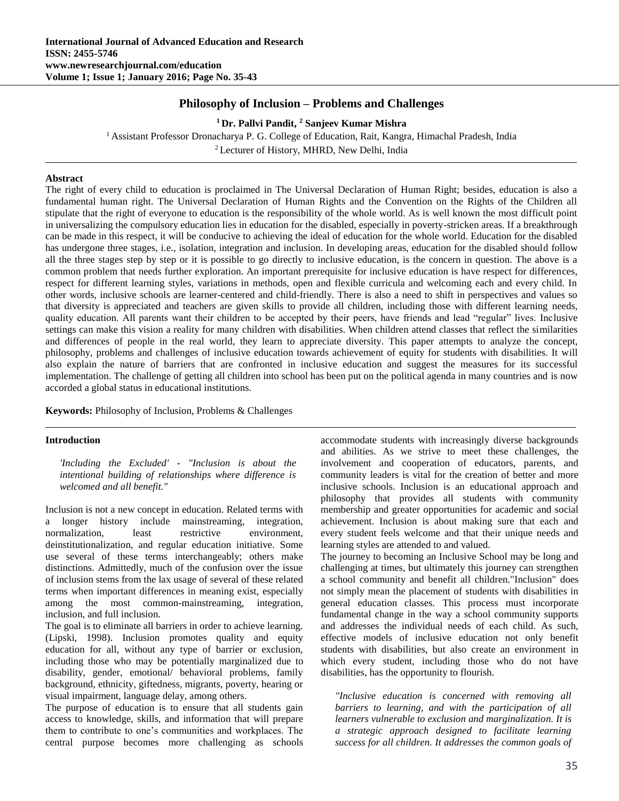# **Philosophy of Inclusion – Problems and Challenges**

**<sup>1</sup> Dr. Pallvi Pandit, <sup>2</sup> Sanjeev Kumar Mishra** <sup>1</sup> Assistant Professor Dronacharya P. G. College of Education, Rait, Kangra, Himachal Pradesh, India <sup>2</sup> Lecturer of History, MHRD, New Delhi, India

## **Abstract**

The right of every child to education is proclaimed in The Universal Declaration of Human Right; besides, education is also a fundamental human right. The Universal Declaration of Human Rights and the Convention on the Rights of the Children all stipulate that the right of everyone to education is the responsibility of the whole world. As is well known the most difficult point in universalizing the compulsory education lies in education for the disabled, especially in poverty-stricken areas. If a breakthrough can be made in this respect, it will be conducive to achieving the ideal of education for the whole world. Education for the disabled has undergone three stages, i.e., isolation, integration and inclusion. In developing areas, education for the disabled should follow all the three stages step by step or it is possible to go directly to inclusive education, is the concern in question. The above is a common problem that needs further exploration. An important prerequisite for inclusive education is have respect for differences, respect for different learning styles, variations in methods, open and flexible curricula and welcoming each and every child. In other words, inclusive schools are learner-centered and child-friendly. There is also a need to shift in perspectives and values so that diversity is appreciated and teachers are given skills to provide all children, including those with different learning needs, quality education. All parents want their children to be accepted by their peers, have friends and lead "regular" lives. Inclusive settings can make this vision a reality for many children with disabilities. When children attend classes that reflect the similarities and differences of people in the real world, they learn to appreciate diversity. This paper attempts to analyze the concept, philosophy, problems and challenges of inclusive education towards achievement of equity for students with disabilities. It will also explain the nature of barriers that are confronted in inclusive education and suggest the measures for its successful implementation. The challenge of getting all children into school has been put on the political agenda in many countries and is now accorded a global status in educational institutions.

**Keywords:** Philosophy of Inclusion, Problems & Challenges

#### **Introduction**

*'Including the Excluded' - "Inclusion is about the intentional building of relationships where difference is welcomed and all benefit."*

Inclusion is not a new concept in education. Related terms with a longer history include mainstreaming, integration, normalization, least restrictive environment, deinstitutionalization, and regular education initiative. Some use several of these terms interchangeably; others make distinctions. Admittedly, much of the confusion over the issue of inclusion stems from the lax usage of several of these related terms when important differences in meaning exist, especially among the most common-mainstreaming, integration, inclusion, and full inclusion.

The goal is to eliminate all barriers in order to achieve learning. (Lipski, 1998). Inclusion promotes quality and equity education for all, without any type of barrier or exclusion, including those who may be potentially marginalized due to disability, gender, emotional/ behavioral problems, family background, ethnicity, giftedness, migrants, poverty, hearing or visual impairment, language delay, among others.

The purpose of education is to ensure that all students gain access to knowledge, skills, and information that will prepare them to contribute to one's communities and workplaces. The central purpose becomes more challenging as schools

accommodate students with increasingly diverse backgrounds and abilities. As we strive to meet these challenges, the involvement and cooperation of educators, parents, and community leaders is vital for the creation of better and more inclusive schools. Inclusion is an educational approach and philosophy that provides all students with community membership and greater opportunities for academic and social achievement. Inclusion is about making sure that each and every student feels welcome and that their unique needs and learning styles are attended to and valued.

The journey to becoming an Inclusive School may be long and challenging at times, but ultimately this journey can strengthen a school community and benefit all children."Inclusion" does not simply mean the placement of students with disabilities in general education classes. This process must incorporate fundamental change in the way a school community supports and addresses the individual needs of each child. As such, effective models of inclusive education not only benefit students with disabilities, but also create an environment in which every student, including those who do not have disabilities, has the opportunity to flourish.

*"Inclusive education is concerned with removing all barriers to learning, and with the participation of all learners vulnerable to exclusion and marginalization. It is a strategic approach designed to facilitate learning success for all children. It addresses the common goals of*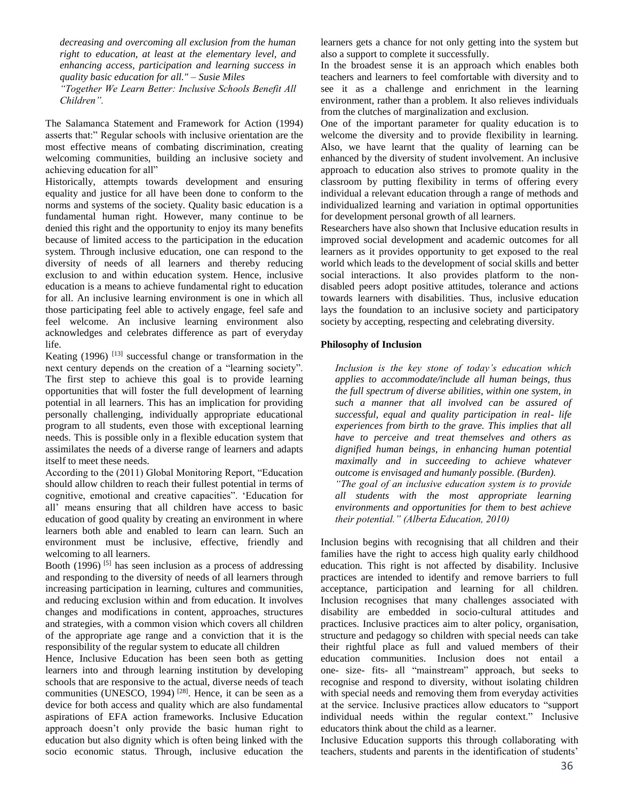*decreasing and overcoming all exclusion from the human right to education, at least at the elementary level, and enhancing access, participation and learning success in quality basic education for all." – Susie Miles*

*"Together We Learn Better: Inclusive Schools Benefit All Children".*

The Salamanca Statement and Framework for Action (1994) asserts that:" Regular schools with inclusive orientation are the most effective means of combating discrimination, creating welcoming communities, building an inclusive society and achieving education for all"

Historically, attempts towards development and ensuring equality and justice for all have been done to conform to the norms and systems of the society. Quality basic education is a fundamental human right. However, many continue to be denied this right and the opportunity to enjoy its many benefits because of limited access to the participation in the education system. Through inclusive education, one can respond to the diversity of needs of all learners and thereby reducing exclusion to and within education system. Hence, inclusive education is a means to achieve fundamental right to education for all. An inclusive learning environment is one in which all those participating feel able to actively engage, feel safe and feel welcome. An inclusive learning environment also acknowledges and celebrates difference as part of everyday life.

Keating  $(1996)$ <sup>[13]</sup> successful change or transformation in the next century depends on the creation of a "learning society". The first step to achieve this goal is to provide learning opportunities that will foster the full development of learning potential in all learners. This has an implication for providing personally challenging, individually appropriate educational program to all students, even those with exceptional learning needs. This is possible only in a flexible education system that assimilates the needs of a diverse range of learners and adapts itself to meet these needs.

According to the (2011) Global Monitoring Report, "Education should allow children to reach their fullest potential in terms of cognitive, emotional and creative capacities". 'Education for all' means ensuring that all children have access to basic education of good quality by creating an environment in where learners both able and enabled to learn can learn. Such an environment must be inclusive, effective, friendly and welcoming to all learners.

Booth (1996)  $[5]$  has seen inclusion as a process of addressing and responding to the diversity of needs of all learners through increasing participation in learning, cultures and communities, and reducing exclusion within and from education. It involves changes and modifications in content, approaches, structures and strategies, with a common vision which covers all children of the appropriate age range and a conviction that it is the responsibility of the regular system to educate all children

Hence, Inclusive Education has been seen both as getting learners into and through learning institution by developing schools that are responsive to the actual, diverse needs of teach communities (UNESCO, 1994)<sup>[28]</sup>. Hence, it can be seen as a device for both access and quality which are also fundamental aspirations of EFA action frameworks. Inclusive Education approach doesn't only provide the basic human right to education but also dignity which is often being linked with the socio economic status. Through, inclusive education the

learners gets a chance for not only getting into the system but also a support to complete it successfully.

In the broadest sense it is an approach which enables both teachers and learners to feel comfortable with diversity and to see it as a challenge and enrichment in the learning environment, rather than a problem. It also relieves individuals from the clutches of marginalization and exclusion.

One of the important parameter for quality education is to welcome the diversity and to provide flexibility in learning. Also, we have learnt that the quality of learning can be enhanced by the diversity of student involvement. An inclusive approach to education also strives to promote quality in the classroom by putting flexibility in terms of offering every individual a relevant education through a range of methods and individualized learning and variation in optimal opportunities for development personal growth of all learners.

Researchers have also shown that Inclusive education results in improved social development and academic outcomes for all learners as it provides opportunity to get exposed to the real world which leads to the development of social skills and better social interactions. It also provides platform to the nondisabled peers adopt positive attitudes, tolerance and actions towards learners with disabilities. Thus, inclusive education lays the foundation to an inclusive society and participatory society by accepting, respecting and celebrating diversity.

## **Philosophy of Inclusion**

*Inclusion is the key stone of today's education which applies to accommodate/include all human beings, thus the full spectrum of diverse abilities, within one system, in such a manner that all involved can be assured of successful, equal and quality participation in real- life experiences from birth to the grave. This implies that all have to perceive and treat themselves and others as dignified human beings, in enhancing human potential maximally and in succeeding to achieve whatever outcome is envisaged and humanly possible. (Burden). "The goal of an inclusive education system is to provide* 

*all students with the most appropriate learning environments and opportunities for them to best achieve their potential." (Alberta Education, 2010)*

Inclusion begins with recognising that all children and their families have the right to access high quality early childhood education. This right is not affected by disability. Inclusive practices are intended to identify and remove barriers to full acceptance, participation and learning for all children. Inclusion recognises that many challenges associated with disability are embedded in socio-cultural attitudes and practices. Inclusive practices aim to alter policy, organisation, structure and pedagogy so children with special needs can take their rightful place as full and valued members of their education communities. Inclusion does not entail a one- size- fits- all "mainstream" approach, but seeks to recognise and respond to diversity, without isolating children with special needs and removing them from everyday activities at the service. Inclusive practices allow educators to "support individual needs within the regular context." Inclusive educators think about the child as a learner.

Inclusive Education supports this through collaborating with teachers, students and parents in the identification of students'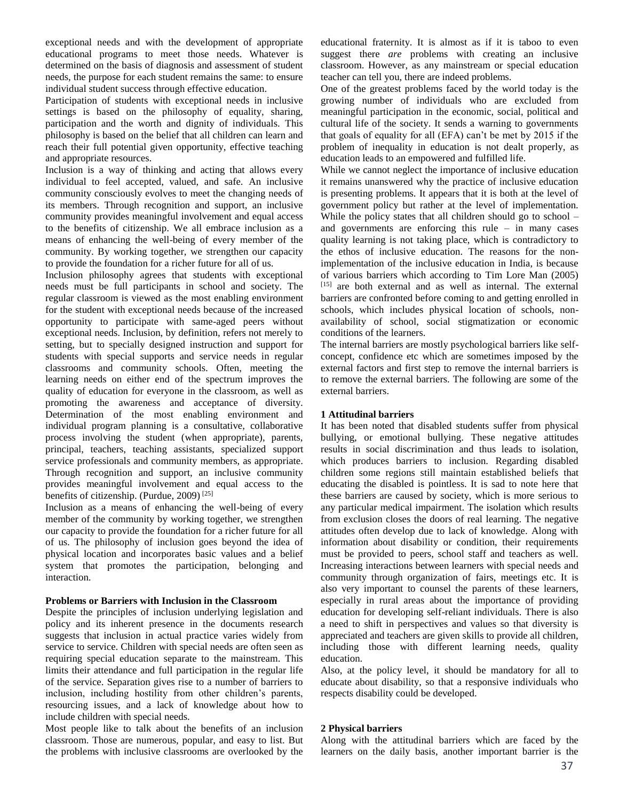exceptional needs and with the development of appropriate educational programs to meet those needs. Whatever is determined on the basis of diagnosis and assessment of student needs, the purpose for each student remains the same: to ensure individual student success through effective education.

Participation of students with exceptional needs in inclusive settings is based on the philosophy of equality, sharing, participation and the worth and dignity of individuals. This philosophy is based on the belief that all children can learn and reach their full potential given opportunity, effective teaching and appropriate resources.

Inclusion is a way of thinking and acting that allows every individual to feel accepted, valued, and safe. An inclusive community consciously evolves to meet the changing needs of its members. Through recognition and support, an inclusive community provides meaningful involvement and equal access to the benefits of citizenship. We all embrace inclusion as a means of enhancing the well-being of every member of the community. By working together, we strengthen our capacity to provide the foundation for a richer future for all of us.

Inclusion philosophy agrees that students with exceptional needs must be full participants in school and society. The regular classroom is viewed as the most enabling environment for the student with exceptional needs because of the increased opportunity to participate with same-aged peers without exceptional needs. Inclusion, by definition, refers not merely to setting, but to specially designed instruction and support for students with special supports and service needs in regular classrooms and community schools. Often, meeting the learning needs on either end of the spectrum improves the quality of education for everyone in the classroom, as well as promoting the awareness and acceptance of diversity. Determination of the most enabling environment and individual program planning is a consultative, collaborative process involving the student (when appropriate), parents, principal, teachers, teaching assistants, specialized support service professionals and community members, as appropriate. Through recognition and support, an inclusive community provides meaningful involvement and equal access to the benefits of citizenship. (Purdue, 2009) [25]

Inclusion as a means of enhancing the well-being of every member of the community by working together, we strengthen our capacity to provide the foundation for a richer future for all of us. The philosophy of inclusion goes beyond the idea of physical location and incorporates basic values and a belief system that promotes the participation, belonging and interaction.

#### **Problems or Barriers with Inclusion in the Classroom**

Despite the principles of inclusion underlying legislation and policy and its inherent presence in the documents research suggests that inclusion in actual practice varies widely from service to service. Children with special needs are often seen as requiring special education separate to the mainstream. This limits their attendance and full participation in the regular life of the service. Separation gives rise to a number of barriers to inclusion, including hostility from other children's parents, resourcing issues, and a lack of knowledge about how to include children with special needs.

Most people like to talk about the benefits of an inclusion classroom. Those are numerous, popular, and easy to list. But the problems with inclusive classrooms are overlooked by the

educational fraternity. It is almost as if it is taboo to even suggest there *are* problems with creating an inclusive classroom. However, as any mainstream or special education teacher can tell you, there are indeed problems.

One of the greatest problems faced by the world today is the growing number of individuals who are excluded from meaningful participation in the economic, social, political and cultural life of the society. It sends a warning to governments that goals of equality for all (EFA) can't be met by 2015 if the problem of inequality in education is not dealt properly, as education leads to an empowered and fulfilled life.

While we cannot neglect the importance of inclusive education it remains unanswered why the practice of inclusive education is presenting problems. It appears that it is both at the level of government policy but rather at the level of implementation. While the policy states that all children should go to school – and governments are enforcing this rule – in many cases quality learning is not taking place, which is contradictory to the ethos of inclusive education. The reasons for the nonimplementation of the inclusive education in India, is because of various barriers which according to Tim Lore Man (2005) [15] are both external and as well as internal. The external barriers are confronted before coming to and getting enrolled in schools, which includes physical location of schools, nonavailability of school, social stigmatization or economic conditions of the learners.

The internal barriers are mostly psychological barriers like selfconcept, confidence etc which are sometimes imposed by the external factors and first step to remove the internal barriers is to remove the external barriers. The following are some of the external barriers.

#### **1 Attitudinal barriers**

It has been noted that disabled students suffer from physical bullying, or emotional bullying. These negative attitudes results in social discrimination and thus leads to isolation, which produces barriers to inclusion. Regarding disabled children some regions still maintain established beliefs that educating the disabled is pointless. It is sad to note here that these barriers are caused by society, which is more serious to any particular medical impairment. The isolation which results from exclusion closes the doors of real learning. The negative attitudes often develop due to lack of knowledge. Along with information about disability or condition, their requirements must be provided to peers, school staff and teachers as well. Increasing interactions between learners with special needs and community through organization of fairs, meetings etc. It is also very important to counsel the parents of these learners, especially in rural areas about the importance of providing education for developing self-reliant individuals. There is also a need to shift in perspectives and values so that diversity is appreciated and teachers are given skills to provide all children, including those with different learning needs, quality education.

Also, at the policy level, it should be mandatory for all to educate about disability, so that a responsive individuals who respects disability could be developed.

### **2 Physical barriers**

Along with the attitudinal barriers which are faced by the learners on the daily basis, another important barrier is the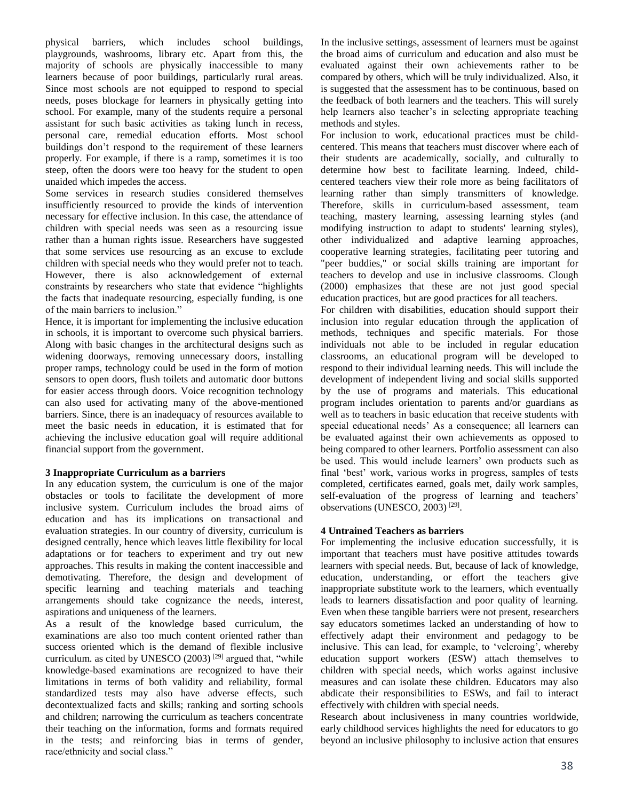physical barriers, which includes school buildings, playgrounds, washrooms, library etc. Apart from this, the majority of schools are physically inaccessible to many learners because of poor buildings, particularly rural areas. Since most schools are not equipped to respond to special needs, poses blockage for learners in physically getting into school. For example, many of the students require a personal assistant for such basic activities as taking lunch in recess, personal care, remedial education efforts. Most school buildings don't respond to the requirement of these learners properly. For example, if there is a ramp, sometimes it is too steep, often the doors were too heavy for the student to open unaided which impedes the access.

Some services in research studies considered themselves insufficiently resourced to provide the kinds of intervention necessary for effective inclusion. In this case, the attendance of children with special needs was seen as a resourcing issue rather than a human rights issue. Researchers have suggested that some services use resourcing as an excuse to exclude children with special needs who they would prefer not to teach. However, there is also acknowledgement of external constraints by researchers who state that evidence "highlights the facts that inadequate resourcing, especially funding, is one of the main barriers to inclusion."

Hence, it is important for implementing the inclusive education in schools, it is important to overcome such physical barriers. Along with basic changes in the architectural designs such as widening doorways, removing unnecessary doors, installing proper ramps, technology could be used in the form of motion sensors to open doors, flush toilets and automatic door buttons for easier access through doors. Voice recognition technology can also used for activating many of the above-mentioned barriers. Since, there is an inadequacy of resources available to meet the basic needs in education, it is estimated that for achieving the inclusive education goal will require additional financial support from the government.

# **3 Inappropriate Curriculum as a barriers**

In any education system, the curriculum is one of the major obstacles or tools to facilitate the development of more inclusive system. Curriculum includes the broad aims of education and has its implications on transactional and evaluation strategies. In our country of diversity, curriculum is designed centrally, hence which leaves little flexibility for local adaptations or for teachers to experiment and try out new approaches. This results in making the content inaccessible and demotivating. Therefore, the design and development of specific learning and teaching materials and teaching arrangements should take cognizance the needs, interest, aspirations and uniqueness of the learners.

As a result of the knowledge based curriculum, the examinations are also too much content oriented rather than success oriented which is the demand of flexible inclusive curriculum. as cited by UNESCO  $(2003)$ <sup>[29]</sup> argued that, "while knowledge-based examinations are recognized to have their limitations in terms of both validity and reliability, formal standardized tests may also have adverse effects, such decontextualized facts and skills; ranking and sorting schools and children; narrowing the curriculum as teachers concentrate their teaching on the information, forms and formats required in the tests; and reinforcing bias in terms of gender, race/ethnicity and social class."

In the inclusive settings, assessment of learners must be against the broad aims of curriculum and education and also must be evaluated against their own achievements rather to be compared by others, which will be truly individualized. Also, it is suggested that the assessment has to be continuous, based on the feedback of both learners and the teachers. This will surely help learners also teacher's in selecting appropriate teaching methods and styles.

For inclusion to work, educational practices must be childcentered. This means that teachers must discover where each of their students are academically, socially, and culturally to determine how best to facilitate learning. Indeed, childcentered teachers view their role more as being facilitators of learning rather than simply transmitters of knowledge. Therefore, skills in curriculum-based assessment, team teaching, mastery learning, assessing learning styles (and modifying instruction to adapt to students' learning styles), other individualized and adaptive learning approaches, cooperative learning strategies, facilitating peer tutoring and "peer buddies," or social skills training are important for teachers to develop and use in inclusive classrooms. Clough (2000) emphasizes that these are not just good special education practices, but are good practices for all teachers.

For children with disabilities, education should support their inclusion into regular education through the application of methods, techniques and specific materials. For those individuals not able to be included in regular education classrooms, an educational program will be developed to respond to their individual learning needs. This will include the development of independent living and social skills supported by the use of programs and materials. This educational program includes orientation to parents and/or guardians as well as to teachers in basic education that receive students with special educational needs' As a consequence; all learners can be evaluated against their own achievements as opposed to being compared to other learners. Portfolio assessment can also be used. This would include learners' own products such as final 'best' work, various works in progress, samples of tests completed, certificates earned, goals met, daily work samples, self-evaluation of the progress of learning and teachers' observations (UNESCO, 2003)<sup>[29]</sup>.

# **4 Untrained Teachers as barriers**

For implementing the inclusive education successfully, it is important that teachers must have positive attitudes towards learners with special needs. But, because of lack of knowledge, education, understanding, or effort the teachers give inappropriate substitute work to the learners, which eventually leads to learners dissatisfaction and poor quality of learning. Even when these tangible barriers were not present, researchers say educators sometimes lacked an understanding of how to effectively adapt their environment and pedagogy to be inclusive. This can lead, for example, to 'velcroing', whereby education support workers (ESW) attach themselves to children with special needs, which works against inclusive measures and can isolate these children. Educators may also abdicate their responsibilities to ESWs, and fail to interact effectively with children with special needs.

Research about inclusiveness in many countries worldwide, early childhood services highlights the need for educators to go beyond an inclusive philosophy to inclusive action that ensures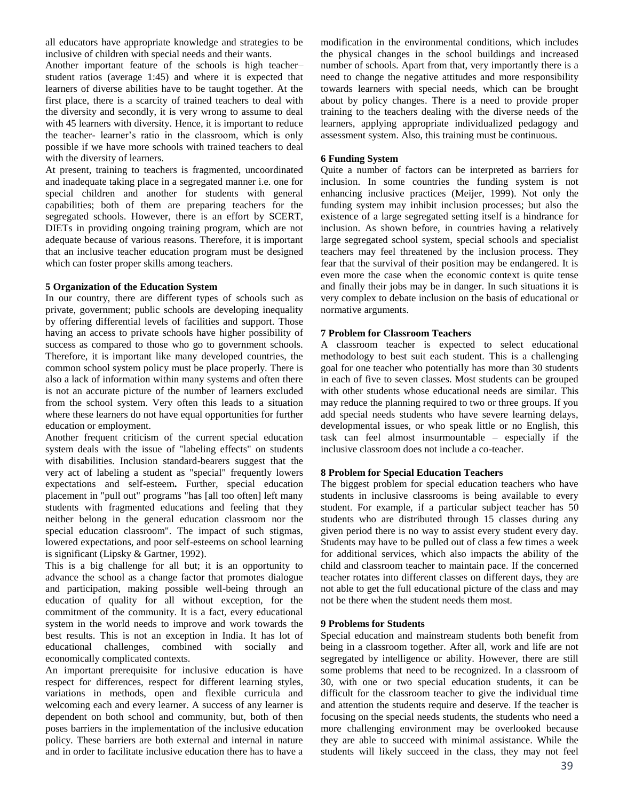all educators have appropriate knowledge and strategies to be inclusive of children with special needs and their wants.

Another important feature of the schools is high teacher– student ratios (average 1:45) and where it is expected that learners of diverse abilities have to be taught together. At the first place, there is a scarcity of trained teachers to deal with the diversity and secondly, it is very wrong to assume to deal with 45 learners with diversity. Hence, it is important to reduce the teacher- learner's ratio in the classroom, which is only possible if we have more schools with trained teachers to deal with the diversity of learners.

At present, training to teachers is fragmented, uncoordinated and inadequate taking place in a segregated manner i.e. one for special children and another for students with general capabilities; both of them are preparing teachers for the segregated schools. However, there is an effort by SCERT, DIETs in providing ongoing training program, which are not adequate because of various reasons. Therefore, it is important that an inclusive teacher education program must be designed which can foster proper skills among teachers.

## **5 Organization of the Education System**

In our country, there are different types of schools such as private, government; public schools are developing inequality by offering differential levels of facilities and support. Those having an access to private schools have higher possibility of success as compared to those who go to government schools. Therefore, it is important like many developed countries, the common school system policy must be place properly. There is also a lack of information within many systems and often there is not an accurate picture of the number of learners excluded from the school system. Very often this leads to a situation where these learners do not have equal opportunities for further education or employment.

Another frequent criticism of the current special education system deals with the issue of "labeling effects" on students with disabilities. Inclusion standard-bearers suggest that the very act of labeling a student as "special" frequently lowers expectations and self-esteem**.** Further, special education placement in "pull out" programs "has [all too often] left many students with fragmented educations and feeling that they neither belong in the general education classroom nor the special education classroom". The impact of such stigmas, lowered expectations, and poor self-esteems on school learning is significant (Lipsky & Gartner, 1992).

This is a big challenge for all but; it is an opportunity to advance the school as a change factor that promotes dialogue and participation, making possible well-being through an education of quality for all without exception, for the commitment of the community. It is a fact, every educational system in the world needs to improve and work towards the best results. This is not an exception in India. It has lot of educational challenges, combined with socially and economically complicated contexts.

An important prerequisite for inclusive education is have respect for differences, respect for different learning styles, variations in methods, open and flexible curricula and welcoming each and every learner. A success of any learner is dependent on both school and community, but, both of then poses barriers in the implementation of the inclusive education policy. These barriers are both external and internal in nature and in order to facilitate inclusive education there has to have a modification in the environmental conditions, which includes the physical changes in the school buildings and increased number of schools. Apart from that, very importantly there is a need to change the negative attitudes and more responsibility towards learners with special needs, which can be brought about by policy changes. There is a need to provide proper training to the teachers dealing with the diverse needs of the learners, applying appropriate individualized pedagogy and assessment system. Also, this training must be continuous.

# **6 Funding System**

Quite a number of factors can be interpreted as barriers for inclusion. In some countries the funding system is not enhancing inclusive practices (Meijer, 1999). Not only the funding system may inhibit inclusion processes; but also the existence of a large segregated setting itself is a hindrance for inclusion. As shown before, in countries having a relatively large segregated school system, special schools and specialist teachers may feel threatened by the inclusion process. They fear that the survival of their position may be endangered. It is even more the case when the economic context is quite tense and finally their jobs may be in danger. In such situations it is very complex to debate inclusion on the basis of educational or normative arguments.

# **7 Problem for Classroom Teachers**

A classroom teacher is expected to select educational methodology to best suit each student. This is a challenging goal for one teacher who potentially has more than 30 students in each of five to seven classes. Most students can be grouped with other students whose educational needs are similar. This may reduce the planning required to two or three groups. If you add special needs students who have severe learning delays, developmental issues, or who speak little or no English, this task can feel almost insurmountable – especially if the inclusive classroom does not include a co-teacher.

# **8 Problem for Special Education Teachers**

The biggest problem for special education teachers who have students in inclusive classrooms is being available to every student. For example, if a particular subject teacher has 50 students who are distributed through 15 classes during any given period there is no way to assist every student every day. Students may have to be pulled out of class a few times a week for additional services, which also impacts the ability of the child and classroom teacher to maintain pace. If the concerned teacher rotates into different classes on different days, they are not able to get the full educational picture of the class and may not be there when the student needs them most.

# **9 Problems for Students**

Special education and mainstream students both benefit from being in a classroom together. After all, work and life are not segregated by intelligence or ability. However, there are still some problems that need to be recognized. In a classroom of 30, with one or two special education students, it can be difficult for the classroom teacher to give the individual time and attention the students require and deserve. If the teacher is focusing on the special needs students, the students who need a more challenging environment may be overlooked because they are able to succeed with minimal assistance. While the students will likely succeed in the class, they may not feel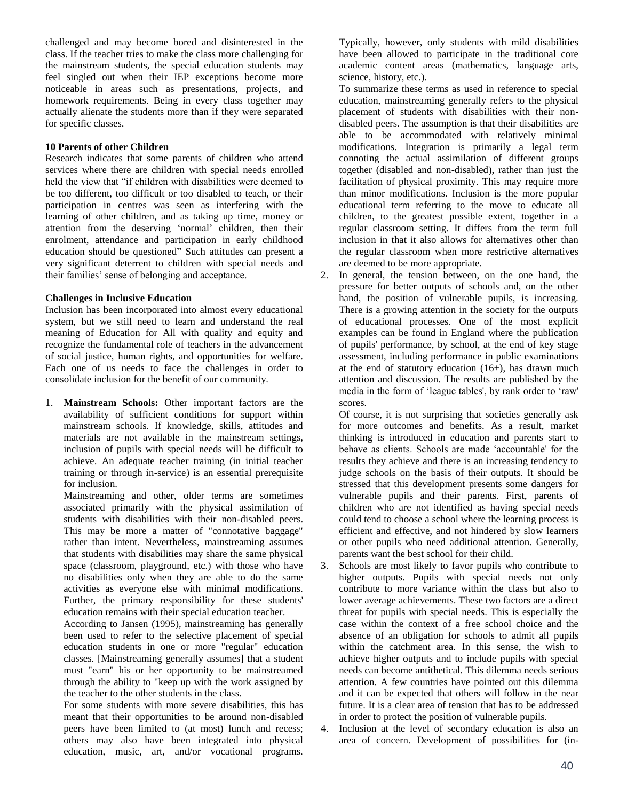challenged and may become bored and disinterested in the class. If the teacher tries to make the class more challenging for the mainstream students, the special education students may feel singled out when their IEP exceptions become more noticeable in areas such as presentations, projects, and homework requirements. Being in every class together may actually alienate the students more than if they were separated for specific classes.

## **10 Parents of other Children**

Research indicates that some parents of children who attend services where there are children with special needs enrolled held the view that "if children with disabilities were deemed to be too different, too difficult or too disabled to teach, or their participation in centres was seen as interfering with the learning of other children, and as taking up time, money or attention from the deserving 'normal' children, then their enrolment, attendance and participation in early childhood education should be questioned" Such attitudes can present a very significant deterrent to children with special needs and their families' sense of belonging and acceptance.

## **Challenges in Inclusive Education**

Inclusion has been incorporated into almost every educational system, but we still need to learn and understand the real meaning of Education for All with quality and equity and recognize the fundamental role of teachers in the advancement of social justice, human rights, and opportunities for welfare. Each one of us needs to face the challenges in order to consolidate inclusion for the benefit of our community.

1. **Mainstream Schools:** Other important factors are the availability of sufficient conditions for support within mainstream schools. If knowledge, skills, attitudes and materials are not available in the mainstream settings, inclusion of pupils with special needs will be difficult to achieve. An adequate teacher training (in initial teacher training or through in-service) is an essential prerequisite for inclusion.

Mainstreaming and other, older terms are sometimes associated primarily with the physical assimilation of students with disabilities with their non-disabled peers. This may be more a matter of "connotative baggage" rather than intent. Nevertheless, mainstreaming assumes that students with disabilities may share the same physical space (classroom, playground, etc.) with those who have no disabilities only when they are able to do the same activities as everyone else with minimal modifications. Further, the primary responsibility for these students' education remains with their special education teacher.

According to Jansen (1995), mainstreaming has generally been used to refer to the selective placement of special education students in one or more "regular" education classes. [Mainstreaming generally assumes] that a student must "earn" his or her opportunity to be mainstreamed through the ability to "keep up with the work assigned by the teacher to the other students in the class.

For some students with more severe disabilities, this has meant that their opportunities to be around non-disabled peers have been limited to (at most) lunch and recess; others may also have been integrated into physical education, music, art, and/or vocational programs.

Typically, however, only students with mild disabilities have been allowed to participate in the traditional core academic content areas (mathematics, language arts, science, history, etc.).

To summarize these terms as used in reference to special education, mainstreaming generally refers to the physical placement of students with disabilities with their nondisabled peers. The assumption is that their disabilities are able to be accommodated with relatively minimal modifications. Integration is primarily a legal term connoting the actual assimilation of different groups together (disabled and non-disabled), rather than just the facilitation of physical proximity. This may require more than minor modifications. Inclusion is the more popular educational term referring to the move to educate all children, to the greatest possible extent, together in a regular classroom setting. It differs from the term full inclusion in that it also allows for alternatives other than the regular classroom when more restrictive alternatives are deemed to be more appropriate.

2. In general, the tension between, on the one hand, the pressure for better outputs of schools and, on the other hand, the position of vulnerable pupils, is increasing. There is a growing attention in the society for the outputs of educational processes. One of the most explicit examples can be found in England where the publication of pupils' performance, by school, at the end of key stage assessment, including performance in public examinations at the end of statutory education (16+), has drawn much attention and discussion. The results are published by the media in the form of 'league tables', by rank order to 'raw' scores.

Of course, it is not surprising that societies generally ask for more outcomes and benefits. As a result, market thinking is introduced in education and parents start to behave as clients. Schools are made 'accountable' for the results they achieve and there is an increasing tendency to judge schools on the basis of their outputs. It should be stressed that this development presents some dangers for vulnerable pupils and their parents. First, parents of children who are not identified as having special needs could tend to choose a school where the learning process is efficient and effective, and not hindered by slow learners or other pupils who need additional attention. Generally, parents want the best school for their child.

- 3. Schools are most likely to favor pupils who contribute to higher outputs. Pupils with special needs not only contribute to more variance within the class but also to lower average achievements. These two factors are a direct threat for pupils with special needs. This is especially the case within the context of a free school choice and the absence of an obligation for schools to admit all pupils within the catchment area. In this sense, the wish to achieve higher outputs and to include pupils with special needs can become antithetical. This dilemma needs serious attention. A few countries have pointed out this dilemma and it can be expected that others will follow in the near future. It is a clear area of tension that has to be addressed in order to protect the position of vulnerable pupils.
- 4. Inclusion at the level of secondary education is also an area of concern. Development of possibilities for (in-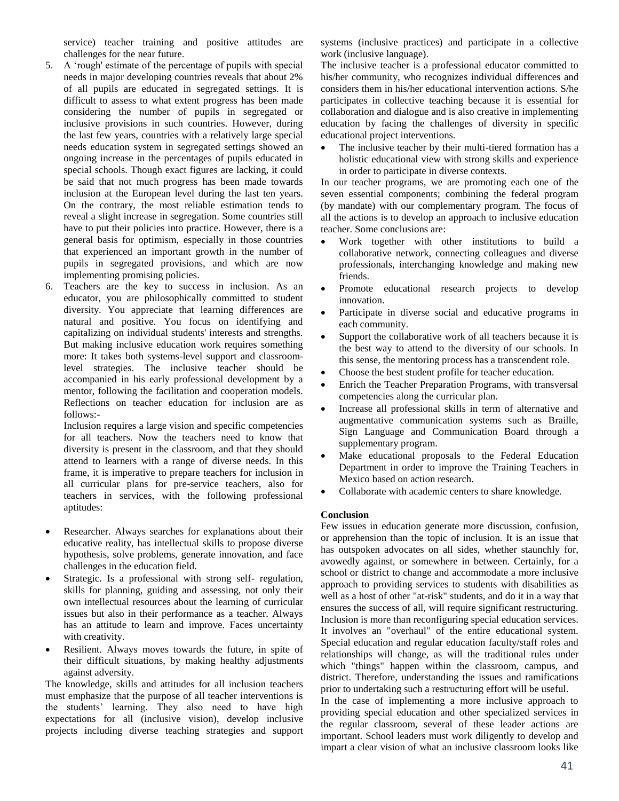service) teacher training and positive attitudes are challenges for the near future.

- 5. A 'rough' estimate of the percentage of pupils with special needs in major developing countries reveals that about 2% of all pupils are educated in segregated settings. It is difficult to assess to what extent progress has been made considering the number of pupils in segregated or inclusive provisions in such countries. However, during the last few years, countries with a relatively large special needs education system in segregated settings showed an ongoing increase in the percentages of pupils educated in special schools. Though exact figures are lacking, it could be said that not much progress has been made towards inclusion at the European level during the last ten years. On the contrary, the most reliable estimation tends to reveal a slight increase in segregation. Some countries still have to put their policies into practice. However, there is a general basis for optimism, especially in those countries that experienced an important growth in the number of pupils in segregated provisions, and which are now implementing promising policies.
- 6. Teachers are the key to success in inclusion. As an educator, you are philosophically committed to student diversity. You appreciate that learning differences are natural and positive. You focus on identifying and capitalizing on individual students' interests and strengths. But making inclusive education work requires something more: It takes both systems-level support and classroomlevel strategies. The inclusive teacher should be accompanied in his early professional development by a mentor, following the facilitation and cooperation models. Reflections on teacher education for inclusion are as follows:-

Inclusion requires a large vision and specific competencies for all teachers. Now the teachers need to know that diversity is present in the classroom, and that they should attend to learners with a range of diverse needs. In this frame, it is imperative to prepare teachers for inclusion in all curricular plans for pre-service teachers, also for teachers in services, with the following professional aptitudes:

- Researcher. Always searches for explanations about their educative reality, has intellectual skills to propose diverse hypothesis, solve problems, generate innovation, and face challenges in the education field.
- Strategic. Is a professional with strong self- regulation, skills for planning, guiding and assessing, not only their own intellectual resources about the learning of curricular issues but also in their performance as a teacher. Always has an attitude to learn and improve. Faces uncertainty with creativity.
- Resilient. Always moves towards the future, in spite of their difficult situations, by making healthy adjustments against adversity.

The knowledge, skills and attitudes for all inclusion teachers must emphasize that the purpose of all teacher interventions is the students' learning. They also need to have high expectations for all (inclusive vision), develop inclusive projects including diverse teaching strategies and support systems (inclusive practices) and participate in a collective work (inclusive language).

The inclusive teacher is a professional educator committed to his/her community, who recognizes individual differences and considers them in his/her educational intervention actions. S/he participates in collective teaching because it is essential for collaboration and dialogue and is also creative in implementing education by facing the challenges of diversity in specific educational project interventions.

 The inclusive teacher by their multi-tiered formation has a holistic educational view with strong skills and experience in order to participate in diverse contexts.

In our teacher programs, we are promoting each one of the seven essential components; combining the federal program (by mandate) with our complementary program. The focus of all the actions is to develop an approach to inclusive education teacher. Some conclusions are:

- Work together with other institutions to build a collaborative network, connecting colleagues and diverse professionals, interchanging knowledge and making new friends.
- Promote educational research projects to develop innovation.
- Participate in diverse social and educative programs in each community.
- Support the collaborative work of all teachers because it is the best way to attend to the diversity of our schools. In this sense, the mentoring process has a transcendent role.
- Choose the best student profile for teacher education.
- Enrich the Teacher Preparation Programs, with transversal competencies along the curricular plan.
- Increase all professional skills in term of alternative and augmentative communication systems such as Braille, Sign Language and Communication Board through a supplementary program.
- Make educational proposals to the Federal Education Department in order to improve the Training Teachers in Mexico based on action research.
- Collaborate with academic centers to share knowledge.

# **Conclusion**

Few issues in education generate more discussion, confusion, or apprehension than the topic of inclusion. It is an issue that has outspoken advocates on all sides, whether staunchly for, avowedly against, or somewhere in between. Certainly, for a school or district to change and accommodate a more inclusive approach to providing services to students with disabilities as well as a host of other "at-risk" students, and do it in a way that ensures the success of all, will require significant restructuring. Inclusion is more than reconfiguring special education services. It involves an "overhaul" of the entire educational system. Special education and regular education faculty/staff roles and relationships will change, as will the traditional rules under which "things" happen within the classroom, campus, and district. Therefore, understanding the issues and ramifications prior to undertaking such a restructuring effort will be useful. In the case of implementing a more inclusive approach to

providing special education and other specialized services in the regular classroom, several of these leader actions are important. School leaders must work diligently to develop and impart a clear vision of what an inclusive classroom looks like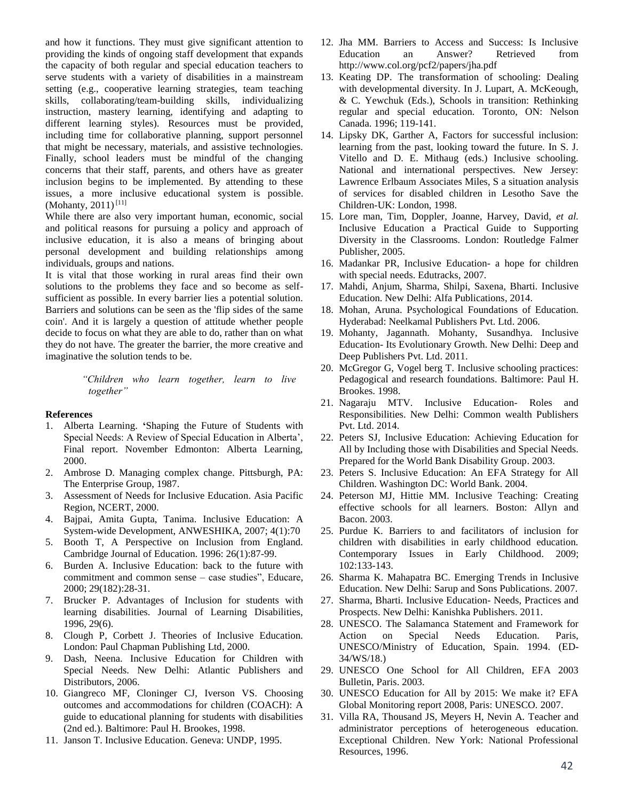and how it functions. They must give significant attention to providing the kinds of ongoing staff development that expands the capacity of both regular and special education teachers to serve students with a variety of disabilities in a mainstream setting (e.g., cooperative learning strategies, team teaching skills, collaborating/team-building skills, individualizing instruction, mastery learning, identifying and adapting to different learning styles). Resources must be provided, including time for collaborative planning, support personnel that might be necessary, materials, and assistive technologies. Finally, school leaders must be mindful of the changing concerns that their staff, parents, and others have as greater inclusion begins to be implemented. By attending to these issues, a more inclusive educational system is possible. (Mohanty, 2011)<sup>[11]</sup>

While there are also very important human, economic, social and political reasons for pursuing a policy and approach of inclusive education, it is also a means of bringing about personal development and building relationships among individuals, groups and nations.

It is vital that those working in rural areas find their own solutions to the problems they face and so become as selfsufficient as possible. In every barrier lies a potential solution. Barriers and solutions can be seen as the 'flip sides of the same coin'. And it is largely a question of attitude whether people decide to focus on what they are able to do, rather than on what they do not have. The greater the barrier, the more creative and imaginative the solution tends to be.

> *"Children who learn together, learn to live together"*

#### **References**

- 1. Alberta Learning. **'**Shaping the Future of Students with Special Needs: A Review of Special Education in Alberta', Final report. November Edmonton: Alberta Learning, 2000.
- 2. Ambrose D. Managing complex change. Pittsburgh, PA: The Enterprise Group, 1987.
- 3. Assessment of Needs for Inclusive Education. Asia Pacific Region, NCERT, 2000.
- 4. Bajpai, Amita Gupta, Tanima. Inclusive Education: A System-wide Development, ANWESHIKA, 2007; 4(1):70
- 5. Booth T, A Perspective on Inclusion from England. Cambridge Journal of Education. 1996: 26(1):87-99.
- 6. Burden A. Inclusive Education: back to the future with commitment and common sense – case studies", Educare, 2000; 29(182):28-31.
- 7. Brucker P. Advantages of Inclusion for students with learning disabilities. Journal of Learning Disabilities, 1996, 29(6).
- 8. Clough P, Corbett J. Theories of Inclusive Education. London: Paul Chapman Publishing Ltd, 2000.
- 9. Dash, Neena. Inclusive Education for Children with Special Needs. New Delhi: Atlantic Publishers and Distributors, 2006.
- 10. Giangreco MF, Cloninger CJ, Iverson VS. Choosing outcomes and accommodations for children (COACH): A guide to educational planning for students with disabilities (2nd ed.). Baltimore: Paul H. Brookes, 1998.
- 11. Janson T. Inclusive Education. Geneva: UNDP, 1995.
- 12. Jha MM. Barriers to Access and Success: Is Inclusive Education an Answer? Retrieved from http://www.col.org/pcf2/papers/jha.pdf
- 13. Keating DP. The transformation of schooling: Dealing with developmental diversity. In J. Lupart, A. McKeough, & C. Yewchuk (Eds.), Schools in transition: Rethinking regular and special education. Toronto, ON: Nelson Canada. 1996; 119-141.
- 14. Lipsky DK, Garther A, Factors for successful inclusion: learning from the past, looking toward the future. In S. J. Vitello and D. E. Mithaug (eds.) Inclusive schooling. National and international perspectives. New Jersey: Lawrence Erlbaum Associates Miles, S a situation analysis of services for disabled children in Lesotho Save the Children-UK: London, 1998.
- 15. Lore man, Tim, Doppler, Joanne, Harvey, David, *et al.* Inclusive Education a Practical Guide to Supporting Diversity in the Classrooms. London: Routledge Falmer Publisher, 2005.
- 16. Madankar PR, Inclusive Education- a hope for children with special needs. Edutracks, 2007.
- 17. Mahdi, Anjum, Sharma, Shilpi, Saxena, Bharti. Inclusive Education. New Delhi: Alfa Publications, 2014.
- 18. Mohan, Aruna. Psychological Foundations of Education. Hyderabad: Neelkamal Publishers Pvt. Ltd. 2006.
- 19. Mohanty, Jagannath. Mohanty, Susandhya. Inclusive Education- Its Evolutionary Growth. New Delhi: Deep and Deep Publishers Pvt. Ltd. 2011.
- 20. McGregor G, Vogel berg T. Inclusive schooling practices: Pedagogical and research foundations. Baltimore: Paul H. Brookes. 1998.
- 21. Nagaraju MTV. Inclusive Education- Roles and Responsibilities. New Delhi: Common wealth Publishers Pvt. Ltd. 2014.
- 22. Peters SJ, Inclusive Education: Achieving Education for All by Including those with Disabilities and Special Needs. Prepared for the World Bank Disability Group. 2003.
- 23. Peters S. Inclusive Education: An EFA Strategy for All Children. Washington DC: World Bank. 2004.
- 24. Peterson MJ, Hittie MM. Inclusive Teaching: Creating effective schools for all learners. Boston: Allyn and Bacon. 2003.
- 25. Purdue K. Barriers to and facilitators of inclusion for children with disabilities in early childhood education. Contemporary Issues in Early Childhood. 2009; 102:133-143.
- 26. Sharma K. Mahapatra BC. Emerging Trends in Inclusive Education. New Delhi: Sarup and Sons Publications. 2007.
- 27. Sharma, Bharti. Inclusive Education- Needs, Practices and Prospects. New Delhi: Kanishka Publishers. 2011.
- 28. UNESCO. The Salamanca Statement and Framework for Action on Special Needs Education. Paris, UNESCO/Ministry of Education, Spain. 1994. (ED-34/WS/18.)
- 29. UNESCO One School for All Children, EFA 2003 Bulletin, Paris. 2003.
- 30. UNESCO Education for All by 2015: We make it? EFA Global Monitoring report 2008, Paris: UNESCO. 2007.
- 31. Villa RA, Thousand JS, Meyers H, Nevin A. Teacher and administrator perceptions of heterogeneous education. Exceptional Children. New York: National Professional Resources, 1996.